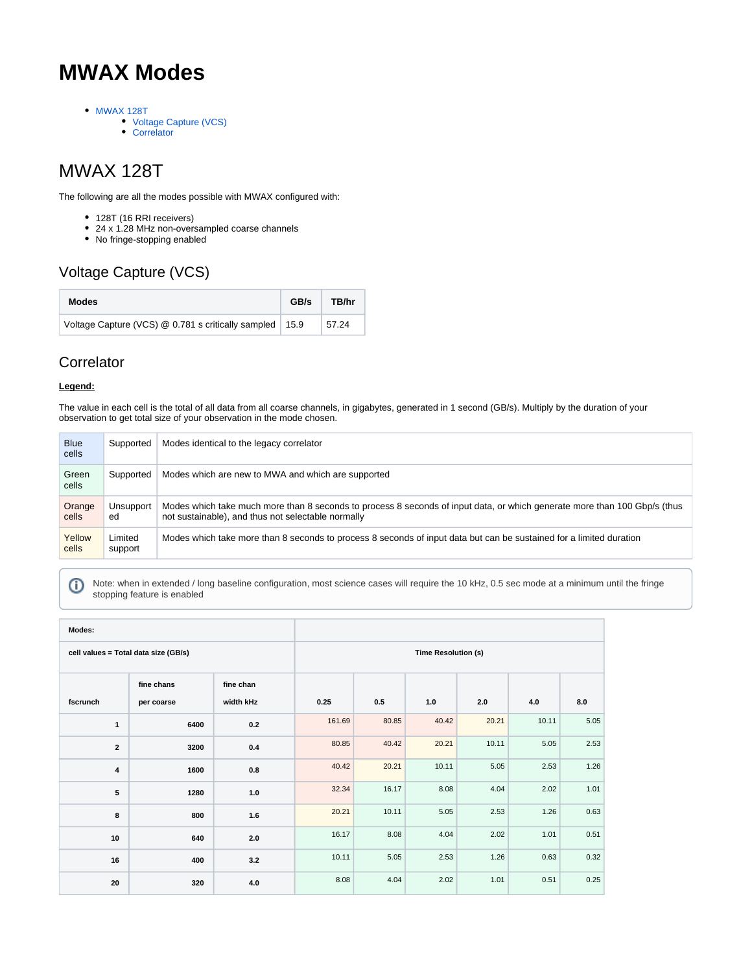# **MWAX Modes**

- [MWAX 128T](#page-0-0)
	- [Voltage Capture \(VCS\)](#page-0-1)
	- [Correlator](#page-0-2)

## <span id="page-0-0"></span>MWAX 128T

The following are all the modes possible with MWAX configured with:

- 128T (16 RRI receivers)
- 24 x 1.28 MHz non-oversampled coarse channels
- No fringe-stopping enabled

### <span id="page-0-1"></span>Voltage Capture (VCS)

| <b>Modes</b>                                              | GB/s | TB/hr |
|-----------------------------------------------------------|------|-------|
| Voltage Capture (VCS) @ 0.781 s critically sampled   15.9 |      | 57.24 |

#### <span id="page-0-2"></span>**Correlator**

#### **Legend:**

The value in each cell is the total of all data from all coarse channels, in gigabytes, generated in 1 second (GB/s). Multiply by the duration of your observation to get total size of your observation in the mode chosen.

| <b>Blue</b><br>cells | Supported          | Modes identical to the legacy correlator                                                                                                                                        |
|----------------------|--------------------|---------------------------------------------------------------------------------------------------------------------------------------------------------------------------------|
| Green<br>cells       | Supported          | Modes which are new to MWA and which are supported                                                                                                                              |
| Orange<br>cells      | Unsupport<br>ed    | Modes which take much more than 8 seconds to process 8 seconds of input data, or which generate more than 100 Gbp/s (thus<br>not sustainable), and thus not selectable normally |
| Yellow<br>cells      | Limited<br>support | Modes which take more than 8 seconds to process 8 seconds of input data but can be sustained for a limited duration                                                             |

Ф

Note: when in extended / long baseline configuration, most science cases will require the 10 kHz, 0.5 sec mode at a minimum until the fringe stopping feature is enabled

| Modes:                               |                          |                        |                            |       |       |       |       |      |
|--------------------------------------|--------------------------|------------------------|----------------------------|-------|-------|-------|-------|------|
| cell values = Total data size (GB/s) |                          |                        | <b>Time Resolution (s)</b> |       |       |       |       |      |
| fscrunch                             | fine chans<br>per coarse | fine chan<br>width kHz | 0.25                       | 0.5   | 1.0   | 2.0   | 4.0   | 8.0  |
| $\mathbf{1}$                         | 6400                     | 0.2                    | 161.69                     | 80.85 | 40.42 | 20.21 | 10.11 | 5.05 |
| $\overline{2}$                       | 3200                     | 0.4                    | 80.85                      | 40.42 | 20.21 | 10.11 | 5.05  | 2.53 |
| $\overline{\mathbf{4}}$              | 1600                     | 0.8                    | 40.42                      | 20.21 | 10.11 | 5.05  | 2.53  | 1.26 |
| 5                                    | 1280                     | $1.0$                  | 32.34                      | 16.17 | 8.08  | 4.04  | 2.02  | 1.01 |
| 8                                    | 800                      | 1.6                    | 20.21                      | 10.11 | 5.05  | 2.53  | 1.26  | 0.63 |
| 10                                   | 640                      | 2.0                    | 16.17                      | 8.08  | 4.04  | 2.02  | 1.01  | 0.51 |
| 16                                   | 400                      | 3.2                    | 10.11                      | 5.05  | 2.53  | 1.26  | 0.63  | 0.32 |
| 20                                   | 320                      | $4.0$                  | 8.08                       | 4.04  | 2.02  | 1.01  | 0.51  | 0.25 |